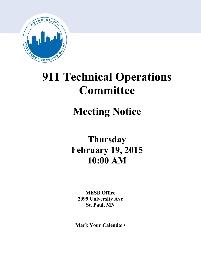

# **911 Technical Operations Committee**

## **Meeting Notice**

## **Thursday February 19, 2015 10:00 AM**

**MESB Office 2099 University Ave St. Paul, MN**

**Mark Your Calendars**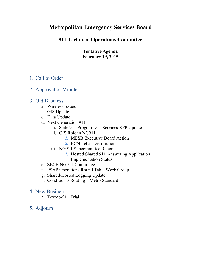## **Metropolitan Emergency Services Board**

## **911 Technical Operations Committee**

**Tentative Agenda February 19, 2015**

## 1. Call to Order

### 2. Approval of Minutes

### 3. Old Business

- a. Wireless Issues
- b. GIS Update
- c. Data Update
- d. Next Generation 911
	- i. State 911 Program 911 Services RFP Update
	- ii. GIS Role in NG911
		- *1.* MESB Executive Board Action
		- *2.* ECN Letter Distribution
	- iii. NG911 Subcommittee Report
		- *1.* Hosted/Shared 911 Answering Application Implementation Status
- e. SECB NG911 Committee
- f. PSAP Operations Round Table Work Group
- g. Shared/Hosted Logging Update
- h. Condition 3 Routing Metro Standard
- 4. New Business
	- a. Text-to-911 Trial
- 5. Adjourn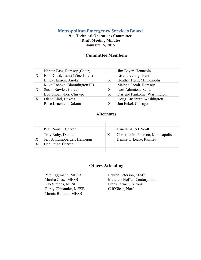#### **Metropolitan Emergency Services Board**

#### **911 Technical Operations Committee Draft Meeting Minutes January 15, 2015**

#### **Committee Members**

|                           | Nancie Pass, Ramsey (Chair)   |   | Jim Bayer, Hennepin          |
|---------------------------|-------------------------------|---|------------------------------|
| X                         | Bob Dowd, Isanti (Vice-Chair) |   | Lisa Lovering, Isanti        |
|                           | Linda Hanson, Anoka           | X | Heather Hunt, Minneapolis    |
|                           | Mike Roepke, Bloomington PD   |   | Marsha Pacolt, Ramsey        |
| $\boldsymbol{\mathrm{X}}$ | Susan Bowler, Carver          | Χ | Lori Adamietz, Scott         |
|                           | Bob Shoemaker, Chisago        | X | Darlene Pankonie, Washington |
| $\boldsymbol{\mathrm{X}}$ | Diane Lind, Dakota            |   | Doug Anschutz, Washington    |
|                           | Rose Kruchten, Dakota         | X | Jon Eckel, Chisago           |

#### **Alternates**

|   | Peter Sauter, Carver         |   | Lynette Ancel, Scott             |
|---|------------------------------|---|----------------------------------|
|   | Troy Ruby, Dakota            | Х | Christine McPherson, Minneapolis |
| X | Jeff Schlumpberger, Hennepin |   | Denise O'Leary, Ramsey           |
|   | Deb Paige, Carver            |   |                                  |
|   |                              |   |                                  |

#### **Others Attending**

Pete Eggimann, MESB Lauren Peterson, MAC Kay Simons, MESB Frank Jarmen, Airbus Gordy Chinander, MESB Clif Giese, North Marcia Broman, MESB

Martha Ziese, MESB Matthew Hoffer, CenturyLink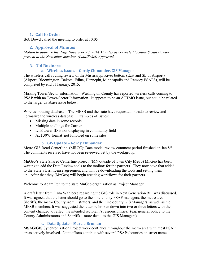#### **1. Call to Order**

Bob Dowd called the meeting to order at 10:05

#### **2. Approval of Minutes**

*Motion to approve the draft November 20, 2014 Minutes as corrected to show Susan Bowler present at the November meeting. (Lind/Eckel) Approved.* 

#### **3. Old Business**

#### **a. Wireless Issues – Gordy Chinander, GIS Manager**

The wireless call routing review of the Mississippi River bottom (East and SE of Airport) (Airport, Bloomington, Dakota, Edina, Hennepin, Minneapolis and Ramsey PSAPS), will be completed by end of January, 2015.

Missing Tower/Sector information: Washington County has reported wireless calls coming to PSAP with no Tower/Sector Information. It appears to be an ATTMO issue, but could be related to the larger database issue below.

Wireless routing database: The MESB and the state have requested Intrado to review and normalize the wireless database. Examples of issues:

- Missing data in some records
- Multiple spellings for Carriers
- LTE tower ID is not displaying in community field
- ALI 30W format not followed on some sites

#### **b. GIS Update – Gordy Chinander**

Metro GIS Road Centerline (MRCC): Data model review comment period finished on Jan 8<sup>th</sup>. The comments received have not been reviewed yet by the workgroup.

MnGeo's State Shared Centerline project: (MN outside of Twin City Metro) MnGeo has been waiting to add the Data Review tools to the toolbox for the partners. They now have that added to the State's Esri license agreement and will be downloading the tools and setting them up. After that they (MnGeo) will begin creating workflows for their partners.

Welcome to Adam Iten to the state MnGeo organization as Project Manager.

A draft letter from Dana Wahlberg regarding the GIS role in Next Generation 911 was discussed. It was agreed that the letter should go to the nine-county PSAP managers, the metro area Sheriffs, the metro County Administrators, and the nine-county GIS Managers, as well as the MESB members. It was suggested the letter be broken down into two or three letters with the content changed to reflect the intended recipient's responsibilities. (e.g. general policy to the County Administrators and Sheriffs – more detail to the GIS Managers)

#### **c. Data Update – Marcia Broman**

MSAG/GIS Synchronization Project work continues throughout the metro area with most PSAP areas actively involved. Joint efforts continue with several PSAPs/counties on street name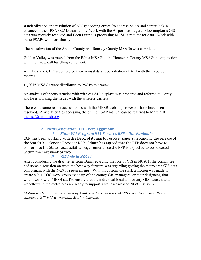standardization and resolution of ALI geocoding errors (to address points and centerline) in advance of their PSAP CAD transitions. Work with the Airport has begun. Bloomington's GIS data was recently received and Eden Prairie is processing MESB's request for data. Work with these PSAPs will start shortly.

The postalization of the Anoka County and Ramsey County MSAGs was completed.

Golden Valley was moved from the Edina MSAG to the Hennepin County MSAG in conjunction with their new call handling agreement.

All LECs and CLECs completed their annual data reconciliation of ALI with their source records.

1Q2015 MSAGs were distributed to PSAPs this week.

An analysis of inconsistencies with wireless ALI displays was prepared and referred to Gordy and he is working the issues with the wireless carriers.

There were some recent access issues with the MESB website, however, those have been resolved. Any difficulties accessing the online PSAP manual can be referred to Martha at [mziese@mn-mesb.org.](mailto:mziese@mn-mesb.org)

#### **d. Next Generation 911 - Pete Eggimann**

#### *i. State 911 Program 911 Services RFP – Dar Pankonie*

ECN has been working with the Dept. of Admin to resolve issues surrounding the release of the State's 911 Service Provider RFP. Admin has agreed that the RFP does not have to conform to the State's accessibility requirements, so the RFP is expected to be released within the next week or two.<br>*ii.* GIS Rol

#### *ii. GIS Role in NG911*

After considering the draft letter from Dana regarding the role of GIS in NG911, the committee had some discussion on what the best way forward was regarding getting the metro area GIS data conformant with the NG911 requirements. With input from the staff, a motion was made to create a 911 TOC work group made up of the county GIS managers, or their designees, that would work with MESB staff to ensure that the individual local and county GIS datasets and workflows in the metro area are ready to support a standards-based NG911 system.

*Motion made by Lind, seconded by Pankonie to request the MESB Executive Committee to support a GIS-911 workgroup. Motion Carried.*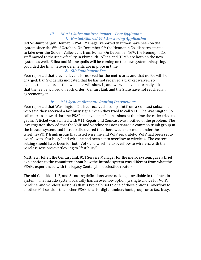#### *iii. NG911 Subcommittee Report – Pete Eggimann 1. Hosted/Shared 911 Answering Application*

Jeff Schlumpberger, Hennepin PSAP Manager reported that they have been on the system since the 6<sup>th</sup> of October. On December 9<sup>th</sup> the Hennepin Co. dispatch started to take over the Golden Valley calls from Edina. On December 16th , the Hennepin Co. staff moved to their new facility in Plymouth. Allina and HEMS are both on the new system as well. Edina and Minneapolis will be coming on the new system this spring, provided the final network elements are in place in time.

#### *2. SIP Enablement Fee*

Pete reported that they believe it is resolved for the metro area and that no fee will be charged. Dan Swiderski indicated that he has not received a blanket waiver, so expects the next order that we place will show it, and we will have to formally ask that the fee be waived on each order. CenturyLink and the State have not reached an agreement yet.

#### *iv. 911 System Alternate Routing Instructions*

Pete reported that Washington Co. had received a complaint from a Comcast subscriber who said they received a fast busy signal when they tried to call 911. The Washington Co. call metrics showed that the PSAP had available 911 sessions at the time the caller tried to get in. A ticket was started with 911 Repair and Comcast was notified of the problem. The investigation showed that the VoIP and wireline sessions shared a common trunk group in the Intrado system, and Intrado discovered that there was a sub-menu under the wireline/VOIP trunk group that listed wireline and VoIP separately. VoIP had been set to overflow to "fast busy" and wireline had been set to overflow to wireless. The correct setting should have been for both VoIP and wireline to overflow to wireless, with the wireless sessions overflowing to "fast busy".

Matthew Hoffer, the CenturyLink 911 Service Manager for the metro system, gave a brief explanation to the committee about how the Intrado system was different from what the PSAPs experienced with the legacy CenturyLink selective routers.

The old Condition 1, 2, and 3 routing definitions were no longer available in the Intrado system. The Intrado system basically has an overflow option (a single choice for VoIP, wireline, and wireless sessions) that is typically set to one of these options: overflow to another 911 session, to another PSAP, to a 10-digit number/hunt group, or to fast busy.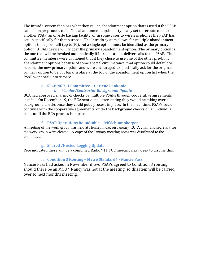The Intrado system then has what they call an abandonment option that is used if the PSAP can no longer process calls. The abandonment option is typically set to reroute calls to another PSAP, an off-site backup facility, or in some cases to wireless phones the PSAP has set up specifically for that purpose. The Intrado system allows for multiple abandonment options to be pre-built (up to 10), but a single option must be identified as the primary option. A PAD device will trigger the primary abandonment option. The primary option is the one that will be invoked automatically if Intrado cannot deliver calls to the PSAP. The committee members were cautioned that if they chose to use one of the other pre-built abandonment options because of some special circumstance, that option could default to become the new primary option, and were encouraged to specifically ask for the original primary option to be put back in place at the top of the abandonment option list when the PSAP went back into service.

#### **e. SECB NG911 Committee – Darlene Pankonie** *i. Vendor/Contractor Background Update*

BCA had approved sharing of checks by multiple PSAPs through cooperative agreements last fall. On December 19, the BCA sent out a letter stating they would be taking over all background checks once they could put a process in place. In the meantime, PSAPs could continue with the cooperative agreements, or do the background checks on an individual basis until the BCA process is in place.

#### **f. PSAP Operations Roundtable – Jeff Schlumpberger**

A meeting of the work group was held at Hennepin Co. on January 13. A chair and secretary for the work group were elected. A copy of the January meeting notes was distributed to the committee.

#### **g. Shared /Hosted Logging Update**

Pete indicated there will be a combined Radio 911 TOC meeting next week to discuss this.

#### **h. Condition 3 Routing – Metro Standard? - Nancie Pass**

Nancie Pass had asked in November if two PSAPs agreed to Condition 3 routing, should there be an MOU? Nancy was not at the meeting, so this item will be carried over to next month's meeting.